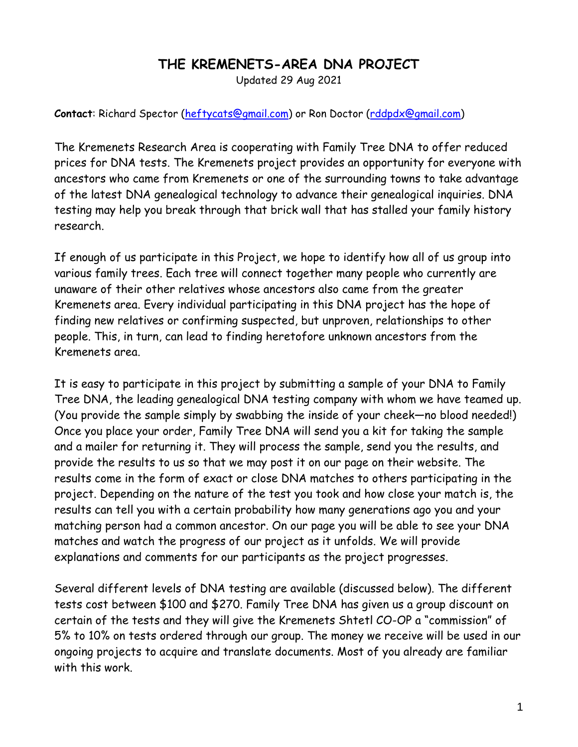## **THE KREMENETS-AREA DNA PROJECT**

Updated 29 Aug 2021

**Contact**: Richard Spector [\(heftycats@gmail.com\)](mailto:heftycats@gmail.com) or Ron Doctor [\(rddpdx@gmail.com\)](mailto:rddpdx@gmail.com)

The Kremenets Research Area is cooperating with Family Tree DNA to offer reduced prices for DNA tests. The Kremenets project provides an opportunity for everyone with ancestors who came from Kremenets or one of the surrounding towns to take advantage of the latest DNA genealogical technology to advance their genealogical inquiries. DNA testing may help you break through that brick wall that has stalled your family history research.

If enough of us participate in this Project, we hope to identify how all of us group into various family trees. Each tree will connect together many people who currently are unaware of their other relatives whose ancestors also came from the greater Kremenets area. Every individual participating in this DNA project has the hope of finding new relatives or confirming suspected, but unproven, relationships to other people. This, in turn, can lead to finding heretofore unknown ancestors from the Kremenets area.

It is easy to participate in this project by submitting a sample of your DNA to Family Tree DNA, the leading genealogical DNA testing company with whom we have teamed up. (You provide the sample simply by swabbing the inside of your cheek—no blood needed!) Once you place your order, Family Tree DNA will send you a kit for taking the sample and a mailer for returning it. They will process the sample, send you the results, and provide the results to us so that we may post it on our page on their website. The results come in the form of exact or close DNA matches to others participating in the project. Depending on the nature of the test you took and how close your match is, the results can tell you with a certain probability how many generations ago you and your matching person had a common ancestor. On our page you will be able to see your DNA matches and watch the progress of our project as it unfolds. We will provide explanations and comments for our participants as the project progresses.

Several different levels of DNA testing are available (discussed below). The different tests cost between \$100 and \$270. Family Tree DNA has given us a group discount on certain of the tests and they will give the Kremenets Shtetl CO-OP a "commission" of 5% to 10% on tests ordered through our group. The money we receive will be used in our ongoing projects to acquire and translate documents. Most of you already are familiar with this work.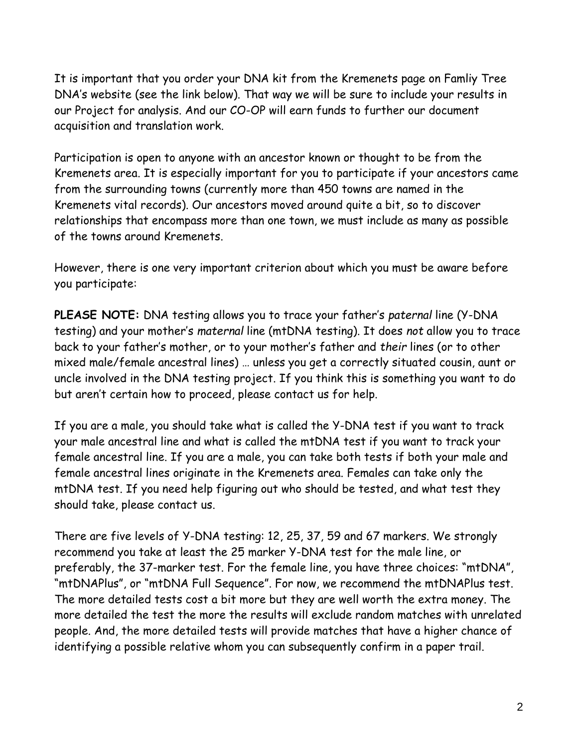It is important that you order your DNA kit from the Kremenets page on Famliy Tree DNA's website (see the link below). That way we will be sure to include your results in our Project for analysis. And our CO-OP will earn funds to further our document acquisition and translation work.

Participation is open to anyone with an ancestor known or thought to be from the Kremenets area. It is especially important for you to participate if your ancestors came from the surrounding towns (currently more than 450 towns are named in the Kremenets vital records). Our ancestors moved around quite a bit, so to discover relationships that encompass more than one town, we must include as many as possible of the towns around Kremenets.

However, there is one very important criterion about which you must be aware before you participate:

**PLEASE NOTE:** DNA testing allows you to trace your father's *paternal* line (Y-DNA testing) and your mother's *maternal* line (mtDNA testing). It does *not* allow you to trace back to your father's mother, or to your mother's father and *their* lines (or to other mixed male/female ancestral lines) … unless you get a correctly situated cousin, aunt or uncle involved in the DNA testing project. If you think this is something you want to do but aren't certain how to proceed, please contact us for help.

If you are a male, you should take what is called the Y-DNA test if you want to track your male ancestral line and what is called the mtDNA test if you want to track your female ancestral line. If you are a male, you can take both tests if both your male and female ancestral lines originate in the Kremenets area. Females can take only the mtDNA test. If you need help figuring out who should be tested, and what test they should take, please contact us.

There are five levels of Y-DNA testing: 12, 25, 37, 59 and 67 markers. We strongly recommend you take at least the 25 marker Y-DNA test for the male line, or preferably, the 37-marker test. For the female line, you have three choices: "mtDNA", "mtDNAPlus", or "mtDNA Full Sequence". For now, we recommend the mtDNAPlus test. The more detailed tests cost a bit more but they are well worth the extra money. The more detailed the test the more the results will exclude random matches with unrelated people. And, the more detailed tests will provide matches that have a higher chance of identifying a possible relative whom you can subsequently confirm in a paper trail.